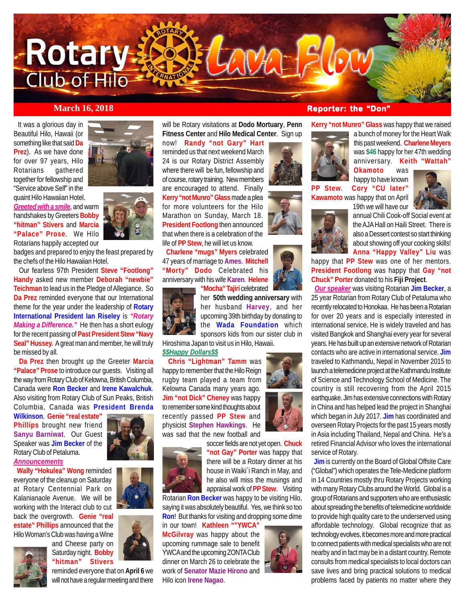

 It was a glorious day in Beautiful Hilo, Hawaii (or something like that said **Da Prez**). As we have done for over 97 years, Hilo Rotarians gathered together for fellowship and "Service above Self" in the quaint Hilo Hawaiian Hotel.

*Greeted with a smile*, and warm handshakes by Greeters **Bobby "hitman" Stivers** and **Marcia "Palace" Prose**. We Hilo Rotarians happily accepted our

the chefs of the Hilo Hawaiian Hotel.

 Our fearless 97th President **Steve "Footlong" Handy** asked new member **Deborah "newbie" Teichman** to lead us in the Pledge of Allegiance. So **Da Prez** reminded everyone that our International theme for the year under the leadership of **Rotary International President Ian Riseley** is *"Rotary Making a Difference."* He then has a short eulogy for the recent passing of **Past President Stew "Navy Seal" Hussey.** A great man and member, he will truly be missed by all.

**"Palace" Prose** to introduce our guests. Visiting all the way from Rotary Club of Kelowna, British Columbia, Canada were **Ron Becker** and **Irene Kawalchuk**. Also visiting from Rotary Club of Sun Peaks, British Columbia, Canada was **President Brenda**

**Wilkinson**. **Genie "real estate"** Rotary Club of Petaluma. *Announcements*

 **Wally "Hokulea" Wong** reminded everyone of the cleanup on Saturday at Rotary Centennial Park on Kalanianaole Avenue. We will be working with the Interact club to cut

**estate" Phillips** announced that the Hilo Woman's Club was having a Wine





badges and prepared to enjoy the feast prepared by

 **Da Prez** then brought up the Greeter **Marcia**

**Phillips** brought new friend **Sanyu Barniwat**. Our Guest Speaker was **Jim Becker** of the

back the overgrowth. **Genie "real**

and Cheese party on Saturday night. **Bobby "hitman" Stivers**



reminded everyone that on **April 6** we will not have a regular meeting and there will be Rotary visitations at **Dodo Mortuary**, **Penn Fitness Center** and **Hilo Medical Center**. Sign up

now! **Randy "not Gary" Hart** reminded us that next weekend March 24 is our Rotary District Assembly where there will be fun, fellowship and of course, rotary training. New members are encouraged to attend. Finally **Kerry "not Munro" Glass** made a plea for more volunteers for the Hilo Marathon on Sunday, March 18. **President Footlong** then announced that when there is a celebration of the life of **PP Stew**, he will let us know.

 **Charlene "mugs" Myers** celebrated 47 years of marriage to **Ames**. **Mitchell "Morty" Dodo** Celebrated his anniversary with his wife **Karen**. **Helene "Mocha" Tajiri** celebrated



her **50th wedding anniversary** with her husband **Harvey**, and her upcoming 39th birthday by donating to the **Wada Foundation** which sponsors kids from our sister club in

Hiroshima Japan to visit us in Hilo, Hawaii.

*\$\$Happy Dollars\$\$*

 **Chris "Lightman" Tamm** was happy to remember that the Hilo Reign rugby team played a team from Kelowna Canada many years ago. **Jim "not Dick" Cheney** was happy to remember some kind thoughts about recently passed **PP Stew** and physicist **Stephen Hawkings**. He was sad that the new football and



soccer fields are not yet open. **Chuck "not Gay" Porter** was happy that there will be a Rotary dinner at his house in Waiki`i Ranch in May, and he also will miss the musings and appraisal work of **PP Stew**. Visiting

Rotarian **Ron Becker** was happy to be visiting Hilo, saying it was absolutely beautiful. Yes, we think so too **Ron**! But thanks for visiting and dropping some dime in our town! **Kathleen ""YWCA"**

**McGilvray** was happy about the upcoming rummage sale to benefit YWCA and the upcoming ZONTA Club dinner on March 26 to celebrate the work of **Senator Mazie Hirono** and Hilo icon **Irene Nagao**.







*March 16, 2018* **<b>Reporter: the "Don" Reporter: the "Don"** 

**Kerry "not Munro" Glass** was happy that we raised



**Okamoto** was happy to have known **PP Stew**. **Cory "CU later"**

**Kawamoto** was happy that on April 19th we will have our





annual Chili Cook-off Social event at the AJA Hall on Haili Street. There is also a Dessert contest so start thinking about showing off your cooking skills! **Anna "Happy Valley" Liu** was

happy that **PP Stew** was one of her mentors. **President Footlong** was happy that **Gay "not Chuck" Porter** donated to his **Fiji Project**.

 *Our speaker* was visiting Rotarian **Jim Becker**, a 25 year Rotarian from Rotary Club of Petaluma who recently relocated to Honokaa. He has been a Rotarian for over 20 years and is especially interested in international service. He is widely traveled and has visited Bangkok and Shanghai every year for several years. He has built up an extensive network of Rotarian contacts who are active in international service. **Jim** traveled to Kathmandu, Nepal in November 2015 to launch a telemedicine project at the Kathmandu Institute of Science and Technology School of Medicine. The country is still recovering from the April 2015 earthquake. Jim has extensive connections with Rotary in China and has helped lead the project in Shanghai which began in July 2017. **Jim** has coordinated and overseen Rotary Projects for the past 15 years mostly in Asia including Thailand, Nepal and China. He's a retired Financial Advisor who loves the international service of Rotary.

**Jim** is currently on the Board of Global Offsite Care ("Global") which operates the Tele-Medicine platform in 14 Countries mostly thru Rotary Projects working with many Rotary Clubs around the World. Global is a group of Rotarians and supporters who are enthusiastic about spreading the benefits of telemedicine worldwide to provide high quality care to the underserved using affordable technology. Global recognize that as technology evolves, it becomes more and more practical to connect patients with medical specialists who are not nearby and in fact may be in a distant country. Remote consults from medical specialists to local doctors can save lives and bring practical solutions to medical problems faced by patients no matter where they

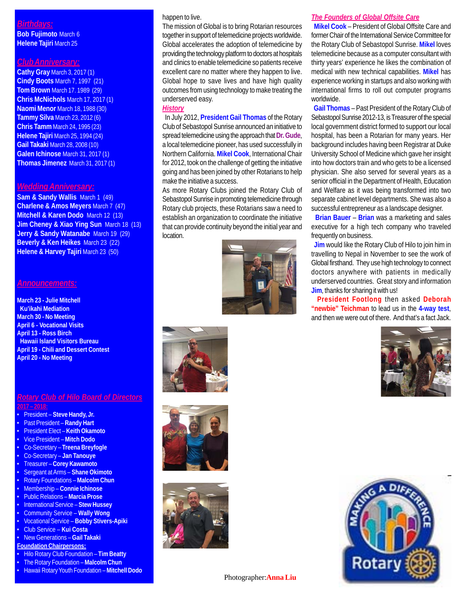# *Birthdays:*

**Bob Fujimoto** March 6 **Helene Tajiri** March 25

# *Club Anniversary:*

**Cathy Gray** March 3, 2017 (1) **Cindy Boots** March 7, 1997 (21) **Tom Brown** March 17. 1989 (29) **Chris McNichols** March 17, 2017 (1) **Naomi Menor** March 18, 1988 (30) **Tammy Silva** March 23, 2012 (6) **Chris Tamm** March 24, 1995 (23) **Helene Tajiri** March 25, 1994 (24) **Gail Takaki** March 28, 2008 (10) **Galen Ichinose** March 31, 2017 (1) **Thomas Jimenez** March 31, 2017 (1)

#### *Wedding Anniversary:*

**Sam & Sandy Wallis** March 1 (49) **Charlene & Amos Meyers** March 7 (47) **Mitchell & Karen Dodo** March 12 (13) **Jim Cheney & Xiao Ying Sun** March 18 (13) **Jerry & Sandy Watanabe** March 19 (29) **Beverly & Ken Heikes** March 23 (22) **Helene & Harvey Tajiri** March 23 (50)

### *Announcements:*

**March 23 - Julie Mitchell Ku'ikahi Mediation March 30 - No Meeting April 6 - Vocational Visits April 13 - Ross Birch Hawaii Island Visitors Bureau April 19 - Chili and Dessert Contest April 20 - No Meeting**

#### *Rotary Club of Hilo Board of Directors* **2017 – 2018:**

- President **Steve Handy, Jr.**
- Past President **Randy Hart**
- President Elect **Keith Okamoto**
- Vice President **Mitch Dodo**
- Co-Secretary **Treena Breyfogle**
- Co-Secretary **Jan Tanouye**
- Treasurer **Corey Kawamoto**
- Sergeant at Arms **Shane Okimoto**
- Rotary Foundations **Malcolm Chun**
- Membership **Connie Ichinose**
- Public Relations **Marcia Prose**
- International Service **Stew Hussey**
- Community Service **Wally Wong**
- Vocational Service **Bobby Stivers-Apiki**
- Club Service **Kui Costa**
- New Generations **Gail Takaki**
- **Foundation Chairpersons:**
- Hilo Rotary Club Foundation **Tim Beatty**
- The Rotary Foundation **Malcolm Chun**
- Hawaii Rotary Youth Foundation **Mitchell Dodo**

#### happen to live.

The mission of Global is to bring Rotarian resources together in support of telemedicine projects worldwide. Global accelerates the adoption of telemedicine by providing the technology platform to doctors at hospitals and clinics to enable telemedicine so patients receive excellent care no matter where they happen to live. Global hope to save lives and have high quality outcomes from using technology to make treating the underserved easy.

#### *History*

 In July 2012, **President Gail Thomas** of the Rotary Club of Sebastopol Sunrise announced an initiative to spread telemedicine using the approach that **Dr. Gude**, a local telemedicine pioneer, has used successfully in Northern California. **Mikel Cook**, International Chair for 2012, took on the challenge of getting the initiative going and has been joined by other Rotarians to help make the initiative a success.

As more Rotary Clubs joined the Rotary Club of Sebastopol Sunrise in promoting telemedicine through Rotary club projects, these Rotarians saw a need to establish an organization to coordinate the initiative that can provide continuity beyond the initial year and location.









#### *The Founders of Global Offsite Care*

 **Mikel Cook** – President of Global Offsite Care and former Chair of the International Service Committee for the Rotary Club of Sebastopol Sunrise. **Mikel** loves telemedicine because as a computer consultant with thirty years' experience he likes the combination of medical with new technical capabilities. **Mikel** has experience working in startups and also working with international firms to roll out computer programs worldwide.

 **Gail Thomas** – Past President of the Rotary Club of Sebastopol Sunrise 2012-13, is Treasurer of the special local government district formed to support our local hospital, has been a Rotarian for many years. Her background includes having been Registrar at Duke University School of Medicine which gave her insight into how doctors train and who gets to be a licensed physician. She also served for several years as a senior official in the Department of Health, Education and Welfare as it was being transformed into two separate cabinet level departments. She was also a successful entrepreneur as a landscape designer.

 **Brian Bauer** – **Brian** was a marketing and sales executive for a high tech company who traveled frequently on business.

**Jim** would like the Rotary Club of Hilo to join him in travelling to Nepal in November to see the work of Global firsthand. They use high technology to connect doctors anywhere with patients in medically underserved countries. Great story and information **Jim**, thanks for sharing it with us!

 **President Footlong** then asked **Deborah "newbie" Teichman** to lead us in the **4-way test**, and then we were out of there. And that's a fact Jack.